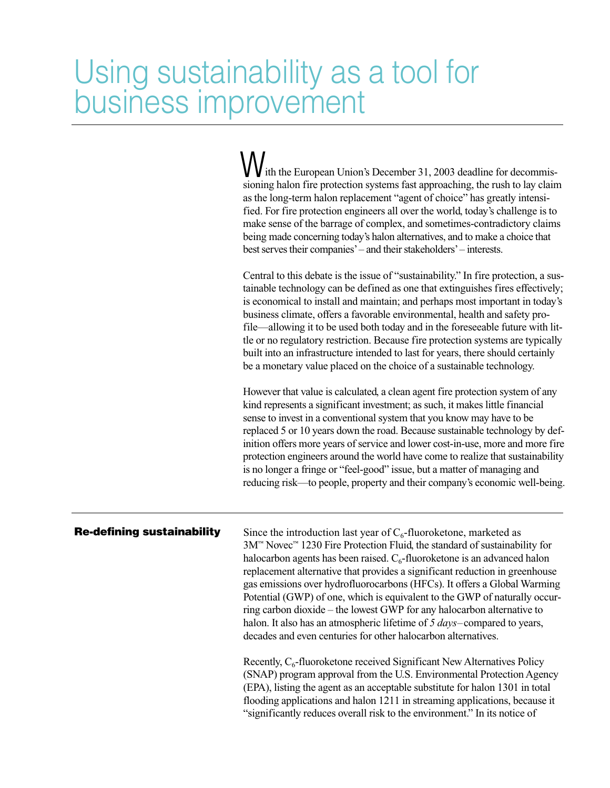# Using sustainability as a tool for business improvement

ith the European Union's December 31, 2003 deadline for decommis-W ith the European Union's December 31, 2003 deadline for decommissioning halon fire protection systems fast approaching, the rush to lay claim as the long-term halon replacement "agent of choice" has greatly intensified. For fire protection engineers all over the world, today's challenge is to make sense of the barrage of complex, and sometimes-contradictory claims being made concerning today's halon alternatives, and to make a choice that best serves their companies'– and their stakeholders'– interests. Central to this debate is the issue of "sustainability." In fire protection, a sustainable technology can be defined as one that extinguishes fires effectively; is economical to install and maintain; and perhaps most important in today's business climate, offers a favorable environmental, health and safety profile—allowing it to be used both today and in the foreseeable future with little or no regulatory restriction. Because fire protection systems are typically built into an infrastructure intended to last for years, there should certainly be a monetary value placed on the choice of a sustainable technology. However that value is calculated, a clean agent fire protection system of any kind represents a significant investment; as such, it makes little financial sense to invest in a conventional system that you know may have to be replaced 5 or 10 years down the road. Because sustainable technology by definition offers more years of service and lower cost-in-use, more and more fire protection engineers around the world have come to realize that sustainability is no longer a fringe or "feel-good" issue, but a matter of managing and

## **Re-defining sustainability**

Since the introduction last year of  $C_6$ -fluoroketone, marketed as 3M™ Novec™ 1230 Fire Protection Fluid, the standard of sustainability for halocarbon agents has been raised.  $C_6$ -fluoroketone is an advanced halon replacement alternative that provides a significant reduction in greenhouse gas emissions over hydrofluorocarbons (HFCs). It offers a Global Warming Potential (GWP) of one, which is equivalent to the GWP of naturally occurring carbon dioxide – the lowest GWP for any halocarbon alternative to halon. It also has an atmospheric lifetime of *5 days*–compared to years, decades and even centuries for other halocarbon alternatives.

reducing risk—to people, property and their company's economic well-being.

Recently,  $C_6$ -fluoroketone received Significant New Alternatives Policy (SNAP) program approval from the U.S. Environmental Protection Agency (EPA), listing the agent as an acceptable substitute for halon 1301 in total flooding applications and halon 1211 in streaming applications, because it "significantly reduces overall risk to the environment." In its notice of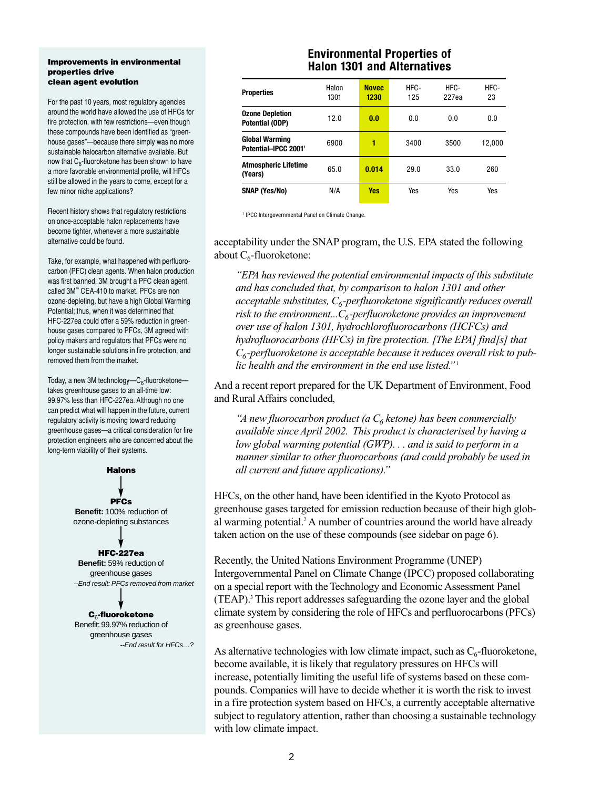#### **Improvements in environmental properties drive clean agent evolution**

For the past 10 years, most regulatory agencies around the world have allowed the use of HFCs for fire protection, with few restrictions—even though these compounds have been identified as "greenhouse gases"—because there simply was no more sustainable halocarbon alternative available. But now that  $C_6$ -fluoroketone has been shown to have a more favorable environmental profile, will HFCs still be allowed in the years to come, except for a few minor niche applications?

Recent history shows that regulatory restrictions on once-acceptable halon replacements have become tighter, whenever a more sustainable alternative could be found.

Take, for example, what happened with perfluorocarbon (PFC) clean agents. When halon production was first banned, 3M brought a PFC clean agent called 3M™ CEA-410 to market. PFCs are non ozone-depleting, but have a high Global Warming Potential; thus, when it was determined that HFC-227ea could offer a 59% reduction in greenhouse gases compared to PFCs, 3M agreed with policy makers and regulators that PFCs were no longer sustainable solutions in fire protection, and removed them from the market.

Today, a new 3M technology— $C_6$ -fluoroketone takes greenhouse gases to an all-time low: 99.97% less than HFC-227ea. Although no one can predict what will happen in the future, current regulatory activity is moving toward reducing greenhouse gases—a critical consideration for fire protection engineers who are concerned about the long-term viability of their systems.



**C**6**-fluoroketone** Benefit: 99.97% reduction of greenhouse gases --End result for HFCs…?

# **Environmental Properties of Halon 1301 and Alternatives**

| <b>Properties</b>                             | Halon<br>1301 | <b>Novec</b><br>1230 | HFC-<br>125 | HFC-<br>227ea | HFC-<br>23 |
|-----------------------------------------------|---------------|----------------------|-------------|---------------|------------|
| <b>Ozone Depletion</b><br>Potential (ODP)     | 12.0          | 0.0                  | 0.0         | 0.0           | 0.0        |
| <b>Global Warming</b><br>Potential-IPCC 2001' | 6900          | 1                    | 3400        | 3500          | 12,000     |
| <b>Atmospheric Lifetime</b><br>(Years)        | 65.0          | 0.014                | 29.0        | 33.0          | 260        |
| SNAP (Yes/No)                                 | N/A           | <b>Yes</b>           | Yes         | Yes           | Yes        |

1 IPCC Intergovernmental Panel on Climate Change.

acceptability under the SNAP program, the U.S. EPA stated the following about  $C_6$ -fluoroketone:

*"EPA has reviewed the potential environmental impacts of this substitute and has concluded that, by comparison to halon 1301 and other*  $acceptable$  substitutes,  $C_6$ -perfluoroketone significantly reduces overall *risk to the environment...* $C_6$ -perfluoroketone provides an improvement *over use of halon 1301, hydrochlorofluorocarbons (HCFCs) and hydrofluorocarbons (HFCs) in fire protection. [The EPA] find[s] that C6-perfluoroketone is acceptable because it reduces overall risk to public health and the environment in the end use listed."*<sup>1</sup>

And a recent report prepared for the UK Department of Environment, Food and Rural Affairs concluded,

*"A new fluorocarbon product (a*  $C_6$  *ketone) has been commercially available since April 2002. This product is characterised by having a low global warming potential (GWP). . . and is said to perform in a manner similar to other fluorocarbons (and could probably be used in all current and future applications)."*

HFCs, on the other hand, have been identified in the Kyoto Protocol as greenhouse gases targeted for emission reduction because of their high global warming potential.<sup>2</sup> A number of countries around the world have already taken action on the use of these compounds (see sidebar on page 6).

Recently, the United Nations Environment Programme (UNEP) Intergovernmental Panel on Climate Change (IPCC) proposed collaborating on a special report with the Technology and Economic Assessment Panel (TEAP).3 This report addresses safeguarding the ozone layer and the global climate system by considering the role of HFCs and perfluorocarbons (PFCs) as greenhouse gases.

As alternative technologies with low climate impact, such as  $C_6$ -fluoroketone, become available, it is likely that regulatory pressures on HFCs will increase, potentially limiting the useful life of systems based on these compounds. Companies will have to decide whether it is worth the risk to invest in a fire protection system based on HFCs, a currently acceptable alternative subject to regulatory attention, rather than choosing a sustainable technology with low climate impact.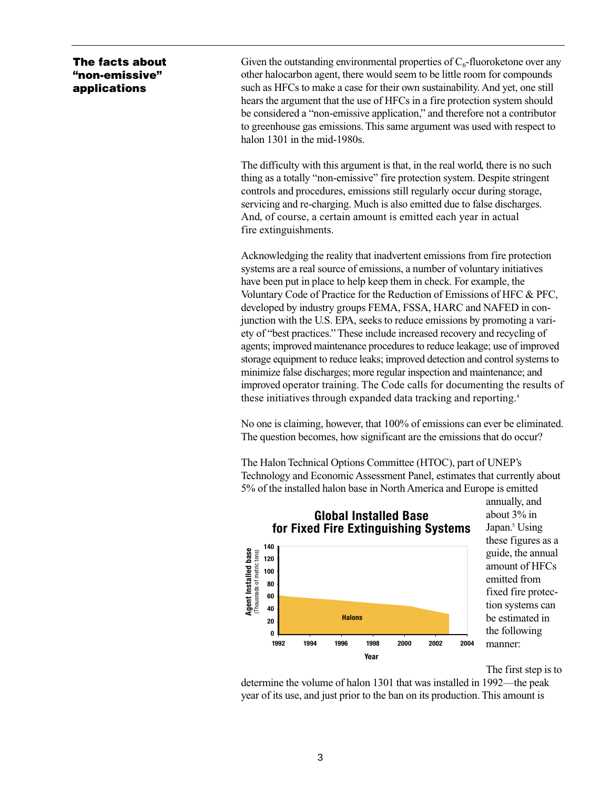**The facts about "non-emissive" applications**

Given the outstanding environmental properties of  $C_6$ -fluoroketone over any other halocarbon agent, there would seem to be little room for compounds such as HFCs to make a case for their own sustainability. And yet, one still hears the argument that the use of HFCs in a fire protection system should be considered a "non-emissive application," and therefore not a contributor to greenhouse gas emissions. This same argument was used with respect to halon 1301 in the mid-1980s.

The difficulty with this argument is that, in the real world, there is no such thing as a totally "non-emissive" fire protection system. Despite stringent controls and procedures, emissions still regularly occur during storage, servicing and re-charging. Much is also emitted due to false discharges. And, of course, a certain amount is emitted each year in actual fire extinguishments.

Acknowledging the reality that inadvertent emissions from fire protection systems are a real source of emissions, a number of voluntary initiatives have been put in place to help keep them in check. For example, the Voluntary Code of Practice for the Reduction of Emissions of HFC & PFC, developed by industry groups FEMA, FSSA, HARC and NAFED in conjunction with the U.S. EPA, seeks to reduce emissions by promoting a variety of "best practices." These include increased recovery and recycling of agents; improved maintenance procedures to reduce leakage; use of improved storage equipment to reduce leaks; improved detection and control systems to minimize false discharges; more regular inspection and maintenance; and improved operator training. The Code calls for documenting the results of these initiatives through expanded data tracking and reporting.4

No one is claiming, however, that 100% of emissions can ever be eliminated. The question becomes, how significant are the emissions that do occur?

The Halon Technical Options Committee (HTOC), part of UNEP's Technology and Economic Assessment Panel, estimates that currently about 5% of the installed halon base in North America and Europe is emitted



**Global Installed Base**

annually, and about 3% in Japan.<sup>5</sup> Using these figures as a guide, the annual amount of HFCs emitted from fixed fire protection systems can be estimated in the following manner:

The first step is to

determine the volume of halon 1301 that was installed in 1992—the peak year of its use, and just prior to the ban on its production. This amount is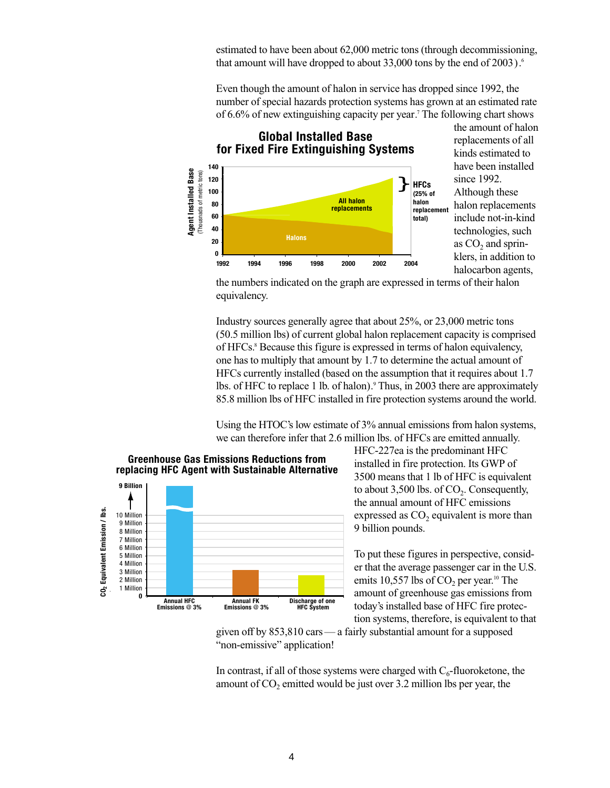estimated to have been about 62,000 metric tons (through decommissioning, that amount will have dropped to about 33,000 tons by the end of 2003).<sup>6</sup>

Even though the amount of halon in service has dropped since 1992, the number of special hazards protection systems has grown at an estimated rate of 6.6% of new extinguishing capacity per year.7 The following chart shows



the numbers indicated on the graph are expressed in terms of their halon equivalency.

Industry sources generally agree that about 25%, or 23,000 metric tons (50.5 million lbs) of current global halon replacement capacity is comprised of HFCs.8 Because this figure is expressed in terms of halon equivalency, one has to multiply that amount by 1.7 to determine the actual amount of HFCs currently installed (based on the assumption that it requires about 1.7 lbs. of HFC to replace 1 lb. of halon).<sup>9</sup> Thus, in 2003 there are approximately 85.8 million lbs of HFC installed in fire protection systems around the world.

Using the HTOC's low estimate of 3% annual emissions from halon systems, we can therefore infer that 2.6 million lbs. of HFCs are emitted annually.



HFC-227ea is the predominant HFC installed in fire protection. Its GWP of 3500 means that 1 lb of HFC is equivalent to about 3,500 lbs. of  $CO<sub>2</sub>$ . Consequently, the annual amount of HFC emissions expressed as  $CO<sub>2</sub>$  equivalent is more than 9 billion pounds.

To put these figures in perspective, consider that the average passenger car in the U.S. emits 10,557 lbs of  $CO<sub>2</sub>$  per year.<sup>10</sup> The amount of greenhouse gas emissions from today's installed base of HFC fire protection systems, therefore, is equivalent to that

given off by 853,810 cars— a fairly substantial amount for a supposed "non-emissive" application!

In contrast, if all of those systems were charged with  $C_6$ -fluoroketone, the amount of  $CO<sub>2</sub>$  emitted would be just over 3.2 million lbs per year, the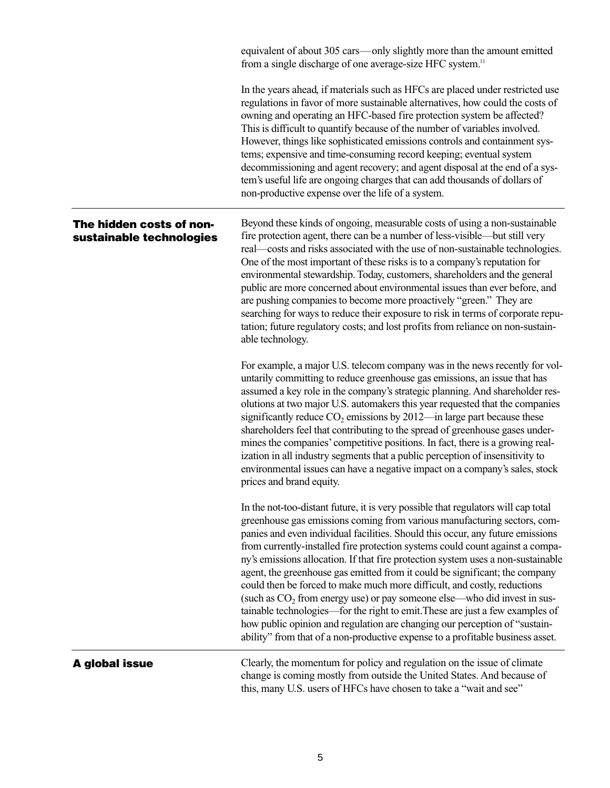equivalent of about 305 cars—only slightly more than the amount emitted from a single discharge of one average-size HFC system.<sup>11</sup>

In the years ahead, if materials such as HFCs are placed under restricted use regulations in favor of more sustainable alternatives, how could the costs of owning and operating an HFC-based fire protection system be affected? This is difficult to quantify because of the number of variables involved. However, things like sophisticated emissions controls and containment systems; expensive and time-consuming record keeping; eventual system decommissioning and agent recovery; and agent disposal at the end of a system's useful life are ongoing charges that can add thousands of dollars of non-productive expense over the life of a system.

# **The hidden costs of nonsustainable technologies**

Beyond these kinds of ongoing, measurable costs of using a non-sustainable fire protection agent, there can be a number of less-visible—but still very real—costs and risks associated with the use of non-sustainable technologies. One of the most important of these risks is to a company's reputation for environmental stewardship. Today, customers, shareholders and the general public are more concerned about environmental issues than ever before, and are pushing companies to become more proactively "green." They are searching for ways to reduce their exposure to risk in terms of corporate reputation; future regulatory costs; and lost profits from reliance on non-sustainable technology.

For example, a major U.S. telecom company was in the news recently for voluntarily committing to reduce greenhouse gas emissions, an issue that has assumed a key role in the company's strategic planning. And shareholder resolutions at two major U.S. automakers this year requested that the companies significantly reduce  $CO<sub>2</sub>$  emissions by 2012—in large part because these shareholders feel that contributing to the spread of greenhouse gases undermines the companies' competitive positions. In fact, there is a growing realization in all industry segments that a public perception of insensitivity to environmental issues can have a negative impact on a company's sales, stock prices and brand equity.

In the not-too-distant future, it is very possible that regulators will cap total greenhouse gas emissions coming from various manufacturing sectors, companies and even individual facilities. Should this occur, any future emissions from currently-installed fire protection systems could count against a company's emissions allocation. If that fire protection system uses a non-sustainable agent, the greenhouse gas emitted from it could be significant; the company could then be forced to make much more difficult, and costly, reductions (such as  $CO<sub>2</sub>$  from energy use) or pay someone else—who did invest in sustainable technologies—for the right to emit.These are just a few examples of how public opinion and regulation are changing our perception of "sustainability" from that of a non-productive expense to a profitable business asset.

## **A global issue**

Clearly, the momentum for policy and regulation on the issue of climate change is coming mostly from outside the United States. And because of this, many U.S. users of HFCs have chosen to take a "wait and see"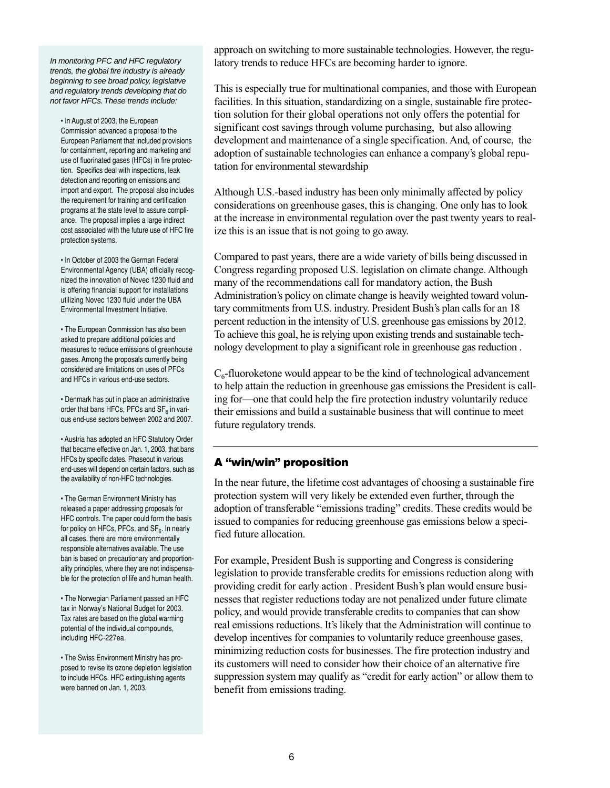In monitoring PFC and HFC regulatory trends, the global fire industry is already beginning to see broad policy, legislative and regulatory trends developing that do not favor HFCs.These trends include:

• In August of 2003, the European Commission advanced a proposal to the European Parliament that included provisions for containment, reporting and marketing and use of fluorinated gases (HFCs) in fire protection. Specifics deal with inspections, leak detection and reporting on emissions and import and export. The proposal also includes the requirement for training and certification programs at the state level to assure compliance. The proposal implies a large indirect cost associated with the future use of HFC fire protection systems.

• In October of 2003 the German Federal Environmental Agency (UBA) officially recognized the innovation of Novec 1230 fluid and is offering financial support for installations utilizing Novec 1230 fluid under the UBA Environmental Investment Initiative.

• The European Commission has also been asked to prepare additional policies and measures to reduce emissions of greenhouse gases. Among the proposals currently being considered are limitations on uses of PFCs and HFCs in various end-use sectors.

• Denmark has put in place an administrative order that bans HFCs, PFCs and  $SF<sub>6</sub>$  in various end-use sectors between 2002 and 2007.

• Austria has adopted an HFC Statutory Order that became effective on Jan. 1, 2003, that bans HFCs by specific dates. Phaseout in various end-uses will depend on certain factors, such as the availability of non-HFC technologies.

• The German Environment Ministry has released a paper addressing proposals for HFC controls. The paper could form the basis for policy on HFCs, PFCs, and  $SF<sub>6</sub>$ . In nearly all cases, there are more environmentally responsible alternatives available. The use ban is based on precautionary and proportionality principles, where they are not indispensable for the protection of life and human health.

• The Norwegian Parliament passed an HFC tax in Norway's National Budget for 2003. Tax rates are based on the global warming potential of the individual compounds, including HFC-227ea.

• The Swiss Environment Ministry has proposed to revise its ozone depletion legislation to include HFCs. HFC extinguishing agents were banned on Jan. 1, 2003.

approach on switching to more sustainable technologies. However, the regulatory trends to reduce HFCs are becoming harder to ignore.

This is especially true for multinational companies, and those with European facilities. In this situation, standardizing on a single, sustainable fire protection solution for their global operations not only offers the potential for significant cost savings through volume purchasing, but also allowing development and maintenance of a single specification. And, of course, the adoption of sustainable technologies can enhance a company's global reputation for environmental stewardship

Although U.S.-based industry has been only minimally affected by policy considerations on greenhouse gases, this is changing. One only has to look at the increase in environmental regulation over the past twenty years to realize this is an issue that is not going to go away.

Compared to past years, there are a wide variety of bills being discussed in Congress regarding proposed U.S. legislation on climate change. Although many of the recommendations call for mandatory action, the Bush Administration's policy on climate change is heavily weighted toward voluntary commitments from U.S. industry. President Bush's plan calls for an 18 percent reduction in the intensity of U.S. greenhouse gas emissions by 2012. To achieve this goal, he is relying upon existing trends and sustainable technology development to play a significant role in greenhouse gas reduction .

 $C_6$ -fluoroketone would appear to be the kind of technological advancement to help attain the reduction in greenhouse gas emissions the President is calling for—one that could help the fire protection industry voluntarily reduce their emissions and build a sustainable business that will continue to meet future regulatory trends.

# **A "win/win" proposition**

In the near future, the lifetime cost advantages of choosing a sustainable fire protection system will very likely be extended even further, through the adoption of transferable "emissions trading" credits. These credits would be issued to companies for reducing greenhouse gas emissions below a specified future allocation.

For example, President Bush is supporting and Congress is considering legislation to provide transferable credits for emissions reduction along with providing credit for early action . President Bush's plan would ensure businesses that register reductions today are not penalized under future climate policy, and would provide transferable credits to companies that can show real emissions reductions. It's likely that the Administration will continue to develop incentives for companies to voluntarily reduce greenhouse gases, minimizing reduction costs for businesses. The fire protection industry and its customers will need to consider how their choice of an alternative fire suppression system may qualify as "credit for early action" or allow them to benefit from emissions trading.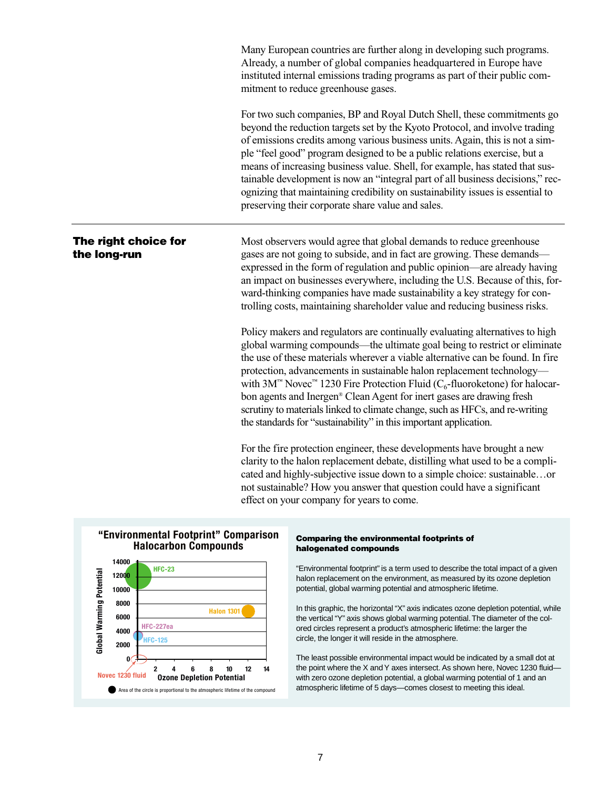Many European countries are further along in developing such programs. Already, a number of global companies headquartered in Europe have instituted internal emissions trading programs as part of their public commitment to reduce greenhouse gases. For two such companies, BP and Royal Dutch Shell, these commitments go beyond the reduction targets set by the Kyoto Protocol, and involve trading of emissions credits among various business units. Again, this is not a simple "feel good" program designed to be a public relations exercise, but a means of increasing business value. Shell, for example, has stated that sustainable development is now an "integral part of all business decisions," recognizing that maintaining credibility on sustainability issues is essential to preserving their corporate share value and sales. Most observers would agree that global demands to reduce greenhouse gases are not going to subside, and in fact are growing. These demands expressed in the form of regulation and public opinion—are already having an impact on businesses everywhere, including the U.S. Because of this, forward-thinking companies have made sustainability a key strategy for controlling costs, maintaining shareholder value and reducing business risks. Policy makers and regulators are continually evaluating alternatives to high global warming compounds—the ultimate goal being to restrict or eliminate the use of these materials wherever a viable alternative can be found. In fire protection, advancements in sustainable halon replacement technology with  $3M<sup>th</sup>$  Novec<sup> $n<sub>th</sub>$  1230 Fire Protection Fluid (C<sub>6</sub>-fluoroketone) for halocar-</sup> bon agents and Inergen® Clean Agent for inert gases are drawing fresh scrutiny to materials linked to climate change, such as HFCs, and re-writing the standards for "sustainability" in this important application. For the fire protection engineer, these developments have brought a new clarity to the halon replacement debate, distilling what used to be a complicated and highly-subjective issue down to a simple choice: sustainable…or not sustainable? How you answer that question could have a significant effect on your company for years to come. **The right choice for the long-run**



#### **Comparing the environmental footprints of halogenated compounds**

"Environmental footprint" is a term used to describe the total impact of a given halon replacement on the environment, as measured by its ozone depletion potential, global warming potential and atmospheric lifetime.

In this graphic, the horizontal "X" axis indicates ozone depletion potential, while the vertical "Y" axis shows global warming potential.The diameter of the colored circles represent a product's atmospheric lifetime: the larger the circle, the longer it will reside in the atmosphere.

The least possible environmental impact would be indicated by a small dot at the point where the X and Y axes intersect. As shown here, Novec 1230 fluid with zero ozone depletion potential, a global warming potential of 1 and an atmospheric lifetime of 5 days—comes closest to meeting this ideal.